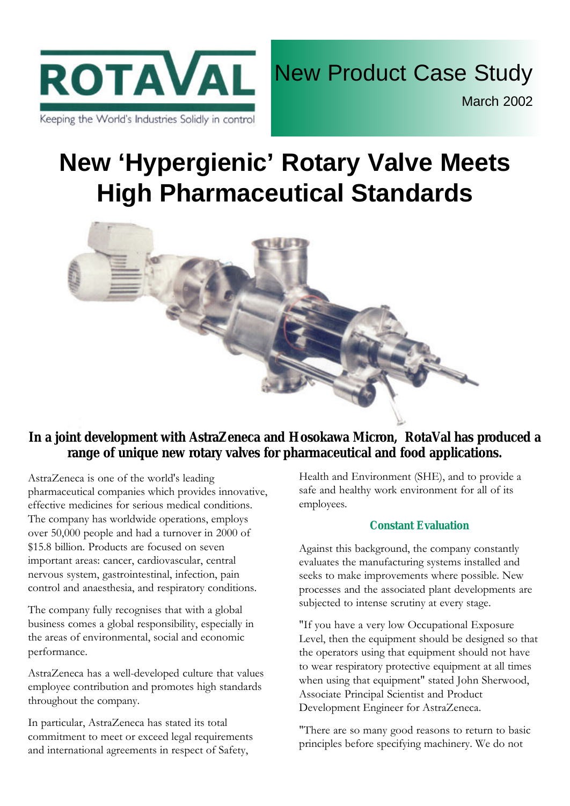

# **New 'Hypergienic' Rotary Valve Meets High Pharmaceutical Standards**



## **In a joint development with AstraZeneca and Hosokawa Micron, RotaVal has produced a range of unique new rotary valves for pharmaceutical and food applications.**

AstraZeneca is one of the world's leading pharmaceutical companies which provides innovative, effective medicines for serious medical conditions. The company has worldwide operations, employs over 50,000 people and had a turnover in 2000 of \$15.8 billion. Products are focused on seven important areas: cancer, cardiovascular, central nervous system, gastrointestinal, infection, pain control and anaesthesia, and respiratory conditions.

The company fully recognises that with a global business comes a global responsibility, especially in the areas of environmental, social and economic performance.

AstraZeneca has a well-developed culture that values employee contribution and promotes high standards throughout the company.

In particular, AstraZeneca has stated its total commitment to meet or exceed legal requirements and international agreements in respect of Safety,

Health and Environment (SHE), and to provide a safe and healthy work environment for all of its employees.

## **Constant Evaluation**

Against this background, the company constantly evaluates the manufacturing systems installed and seeks to make improvements where possible. New processes and the associated plant developments are subjected to intense scrutiny at every stage.

"If you have a very low Occupational Exposure Level, then the equipment should be designed so that the operators using that equipment should not have to wear respiratory protective equipment at all times when using that equipment" stated John Sherwood, Associate Principal Scientist and Product Development Engineer for AstraZeneca.

"There are so many good reasons to return to basic principles before specifying machinery. We do not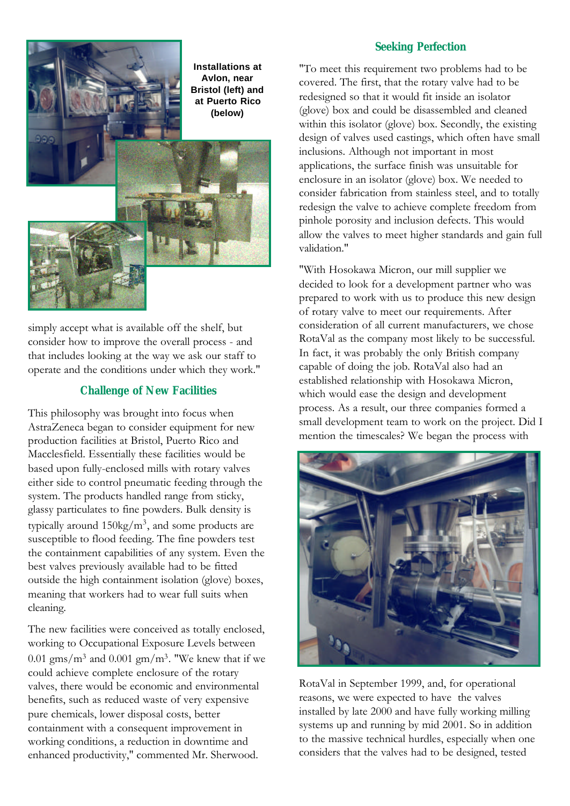

simply accept what is available off the shelf, but consider how to improve the overall process - and that includes looking at the way we ask our staff to operate and the conditions under which they work."

#### **Challenge of New Facilities**

This philosophy was brought into focus when AstraZeneca began to consider equipment for new production facilities at Bristol, Puerto Rico and Macclesfield. Essentially these facilities would be based upon fully-enclosed mills with rotary valves either side to control pneumatic feeding through the system. The products handled range from sticky, glassy particulates to fine powders. Bulk density is typically around  $150\text{kg/m}^3$ , and some products are susceptible to flood feeding. The fine powders test the containment capabilities of any system. Even the best valves previously available had to be fitted outside the high containment isolation (glove) boxes, meaning that workers had to wear full suits when cleaning.

The new facilities were conceived as totally enclosed, working to Occupational Exposure Levels between 0.01 gms/m<sup>3</sup> and 0.001 gm/m<sup>3</sup>. "We knew that if we could achieve complete enclosure of the rotary valves, there would be economic and environmental benefits, such as reduced waste of very expensive pure chemicals, lower disposal costs, better containment with a consequent improvement in working conditions, a reduction in downtime and enhanced productivity," commented Mr. Sherwood.

#### **Seeking Perfection**

"To meet this requirement two problems had to be covered. The first, that the rotary valve had to be redesigned so that it would fit inside an isolator (glove) box and could be disassembled and cleaned within this isolator (glove) box. Secondly, the existing design of valves used castings, which often have small inclusions. Although not important in most applications, the surface finish was unsuitable for enclosure in an isolator (glove) box. We needed to consider fabrication from stainless steel, and to totally redesign the valve to achieve complete freedom from pinhole porosity and inclusion defects. This would allow the valves to meet higher standards and gain full validation."

"With Hosokawa Micron, our mill supplier we decided to look for a development partner who was prepared to work with us to produce this new design of rotary valve to meet our requirements. After consideration of all current manufacturers, we chose RotaVal as the company most likely to be successful. In fact, it was probably the only British company capable of doing the job. RotaVal also had an established relationship with Hosokawa Micron, which would ease the design and development process. As a result, our three companies formed a small development team to work on the project. Did I mention the timescales? We began the process with



RotaVal in September 1999, and, for operational reasons, we were expected to have the valves installed by late 2000 and have fully working milling systems up and running by mid 2001. So in addition to the massive technical hurdles, especially when one considers that the valves had to be designed, tested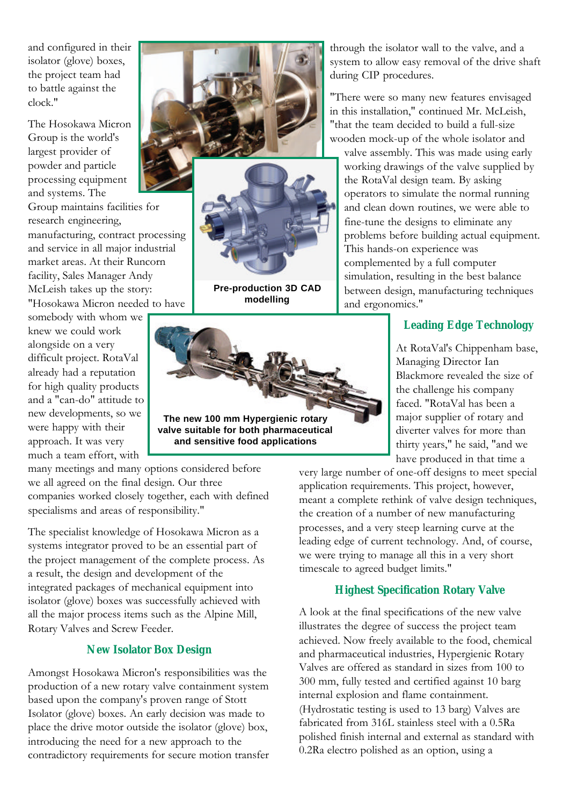and configured in their isolator (glove) boxes, the project team had to battle against the clock."

The Hosokawa Micron Group is the world's largest provider of powder and particle processing equipment and systems. The Group maintains facilities for research engineering, manufacturing, contract processing and service in all major industrial market areas. At their Runcorn facility, Sales Manager Andy McLeish takes up the story: "Hosokawa Micron needed to have

somebody with whom we knew we could work alongside on a very difficult project. RotaVal already had a reputation for high quality products and a "can-do" attitude to new developments, so we were happy with their approach. It was very much a team effort, with

**Pre-production 3D CAD modelling**



**and sensitive food applications**

many meetings and many options considered before we all agreed on the final design. Our three companies worked closely together, each with defined specialisms and areas of responsibility."

The specialist knowledge of Hosokawa Micron as a systems integrator proved to be an essential part of the project management of the complete process. As a result, the design and development of the integrated packages of mechanical equipment into isolator (glove) boxes was successfully achieved with all the major process items such as the Alpine Mill, Rotary Valves and Screw Feeder.

## **New Isolator Box Design**

Amongst Hosokawa Micron's responsibilities was the production of a new rotary valve containment system based upon the company's proven range of Stott Isolator (glove) boxes. An early decision was made to place the drive motor outside the isolator (glove) box, introducing the need for a new approach to the contradictory requirements for secure motion transfer through the isolator wall to the valve, and a system to allow easy removal of the drive shaft during CIP procedures.

"There were so many new features envisaged in this installation," continued Mr. McLeish, "that the team decided to build a full-size wooden mock-up of the whole isolator and valve assembly. This was made using early working drawings of the valve supplied by the RotaVal design team. By asking operators to simulate the normal running and clean down routines, we were able to fine-tune the designs to eliminate any problems before building actual equipment. This hands-on experience was complemented by a full computer simulation, resulting in the best balance between design, manufacturing techniques and ergonomics."

## **Leading Edge Technology**

At RotaVal's Chippenham base, Managing Director Ian Blackmore revealed the size of the challenge his company faced. "RotaVal has been a major supplier of rotary and diverter valves for more than thirty years," he said, "and we have produced in that time a

very large number of one-off designs to meet special application requirements. This project, however, meant a complete rethink of valve design techniques, the creation of a number of new manufacturing processes, and a very steep learning curve at the leading edge of current technology. And, of course, we were trying to manage all this in a very short timescale to agreed budget limits."

## **Highest Specification Rotary Valve**

A look at the final specifications of the new valve illustrates the degree of success the project team achieved. Now freely available to the food, chemical and pharmaceutical industries, Hypergienic Rotary Valves are offered as standard in sizes from 100 to 300 mm, fully tested and certified against 10 barg internal explosion and flame containment. (Hydrostatic testing is used to 13 barg) Valves are fabricated from 316L stainless steel with a 0.5Ra polished finish internal and external as standard with 0.2Ra electro polished as an option, using a